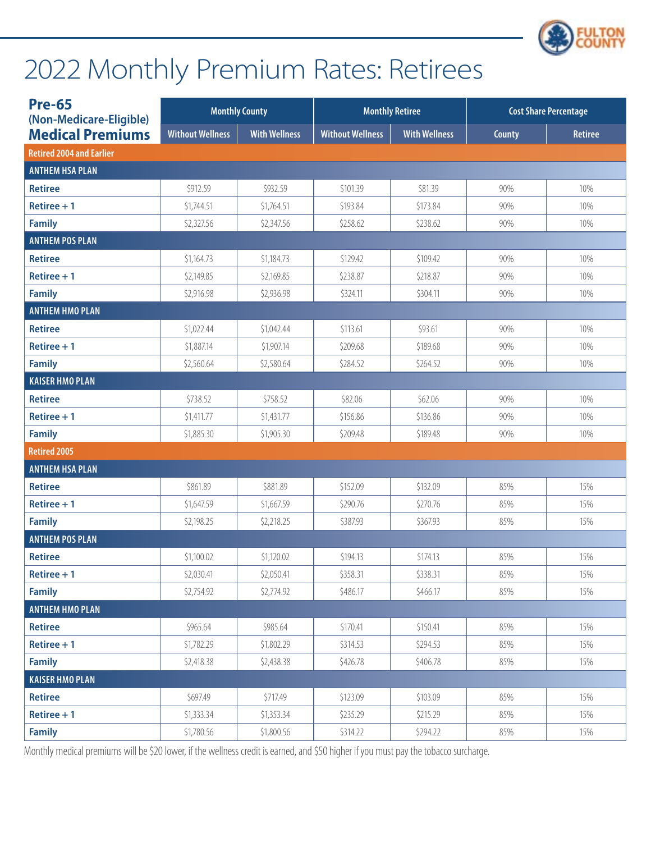

| <b>Pre-65</b><br>(Non-Medicare-Eligible) |                         | <b>Monthly County</b> | <b>Monthly Retiree</b>  |                      | <b>Cost Share Percentage</b> |                |
|------------------------------------------|-------------------------|-----------------------|-------------------------|----------------------|------------------------------|----------------|
| <b>Medical Premiums</b>                  | <b>Without Wellness</b> | <b>With Wellness</b>  | <b>Without Wellness</b> | <b>With Wellness</b> | County                       | <b>Retiree</b> |
| <b>Retired 2004 and Earlier</b>          |                         |                       |                         |                      |                              |                |
| <b>ANTHEM HSA PLAN</b>                   |                         |                       |                         |                      |                              |                |
| <b>Retiree</b>                           | \$912.59                | \$932.59              | \$101.39                | \$81.39              | 90%                          | 10%            |
| Retiree $+1$                             | \$1,744.51              | \$1,764.51            | \$193.84                | \$173.84             | 90%                          | 10%            |
| <b>Family</b>                            | \$2,327.56              | \$2,347.56            | \$258.62                | \$238.62             | 90%                          | 10%            |
| <b>ANTHEM POS PLAN</b>                   |                         |                       |                         |                      |                              |                |
| <b>Retiree</b>                           | \$1,164.73              | \$1,184.73            | \$129.42                | \$109.42             | 90%                          | 10%            |
| Retiree $+1$                             | \$2,149.85              | \$2,169.85            | \$238.87                | \$218.87             | 90%                          | 10%            |
| <b>Family</b>                            | \$2,916.98              | \$2,936.98            | \$324.11                | \$304.11             | 90%                          | 10%            |
| <b>ANTHEM HMO PLAN</b>                   |                         |                       |                         |                      |                              |                |
| <b>Retiree</b>                           | \$1,022.44              | \$1,042.44            | \$113.61                | \$93.61              | 90%                          | 10%            |
| Retiree $+1$                             | \$1,887.14              | \$1,907.14            | \$209.68                | \$189.68             | 90%                          | 10%            |
| <b>Family</b>                            | \$2,560.64              | \$2,580.64            | \$284.52                | \$264.52             | 90%                          | 10%            |
| <b>KAISER HMO PLAN</b>                   |                         |                       |                         |                      |                              |                |
| <b>Retiree</b>                           | \$738.52                | \$758.52              | \$82.06                 | \$62.06              | 90%                          | 10%            |
| Retiree $+1$                             | \$1,411.77              | \$1,431.77            | \$156.86                | \$136.86             | 90%                          | 10%            |
| <b>Family</b>                            | \$1,885.30              | \$1,905.30            | \$209.48                | \$189.48             | 90%                          | 10%            |
| <b>Retired 2005</b>                      |                         |                       |                         |                      |                              |                |
| <b>ANTHEM HSA PLAN</b>                   |                         |                       |                         |                      |                              |                |
| <b>Retiree</b>                           | \$861.89                | \$881.89              | \$152.09                | \$132.09             | 85%                          | 15%            |
| Retiree $+1$                             | \$1,647.59              | \$1,667.59            | \$290.76                | \$270.76             | 85%                          | 15%            |
| <b>Family</b>                            | \$2,198.25              | \$2,218.25            | \$387.93                | \$367.93             | 85%                          | 15%            |
| <b>ANTHEM POS PLAN</b>                   |                         |                       |                         |                      |                              |                |
| <b>Retiree</b>                           | \$1,100.02              | \$1,120.02            | \$194.13                | \$174.13             | 85%                          | 15%            |
| Retiree $+1$                             | \$2,030.41              | \$2,050.41            | \$358.31                | \$338.31             | 85%                          | 15%            |
| <b>Family</b>                            | \$2,754.92              | \$2,774.92            | \$486.17                | \$466.17             | 85%                          | 15%            |
| <b>ANTHEM HMO PLAN</b>                   |                         |                       |                         |                      |                              |                |
| <b>Retiree</b>                           | \$965.64                | \$985.64              | \$170.41                | \$150.41             | 85%                          | 15%            |
| Retiree $+1$                             | \$1,782.29              | \$1,802.29            | \$314.53                | \$294.53             | 85%                          | 15%            |
| <b>Family</b>                            | \$2,418.38              | \$2,438.38            | \$426.78                | \$406.78             | 85%                          | 15%            |
| <b>KAISER HMO PLAN</b>                   |                         |                       |                         |                      |                              |                |
| <b>Retiree</b>                           | \$697.49                | \$717.49              | \$123.09                | \$103.09             | 85%                          | 15%            |
| Retiree $+1$                             | \$1,333.34              | \$1,353.34            | \$235.29                | \$215.29             | 85%                          | 15%            |
| <b>Family</b>                            | \$1,780.56              | \$1,800.56            | \$314.22                | \$294.22             | 85%                          | 15%            |

Monthly medical premiums will be \$20 lower, if the wellness credit is earned, and \$50 higher if you must pay the tobacco surcharge.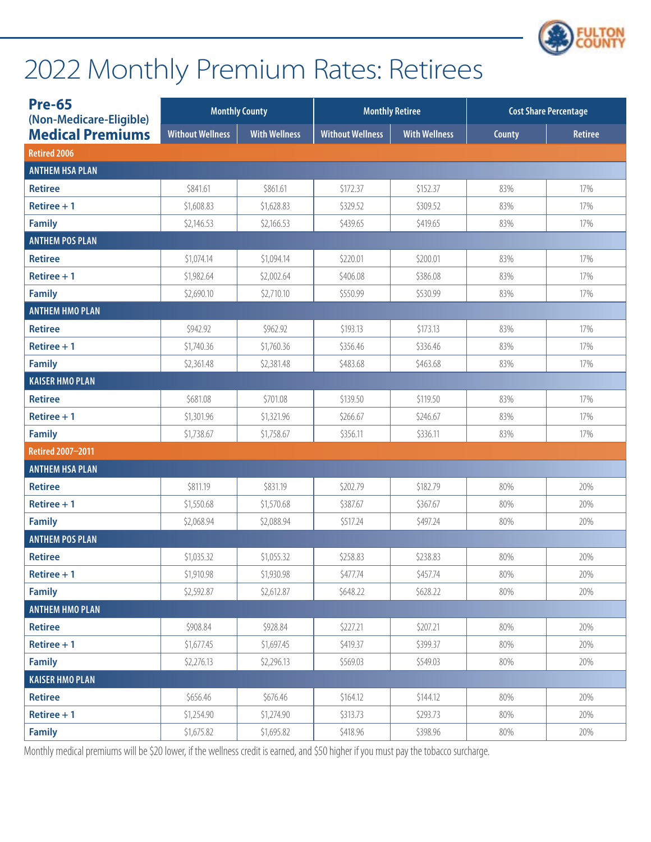

| <b>Pre-65</b><br>(Non-Medicare-Eligible) |                         | <b>Monthly County</b> | <b>Monthly Retiree</b><br><b>Cost Share Percentage</b> |                      |        |                |
|------------------------------------------|-------------------------|-----------------------|--------------------------------------------------------|----------------------|--------|----------------|
| <b>Medical Premiums</b>                  | <b>Without Wellness</b> | <b>With Wellness</b>  | <b>Without Wellness</b>                                | <b>With Wellness</b> | County | <b>Retiree</b> |
| <b>Retired 2006</b>                      |                         |                       |                                                        |                      |        |                |
| <b>ANTHEM HSA PLAN</b>                   |                         |                       |                                                        |                      |        |                |
| <b>Retiree</b>                           | \$841.61                | \$861.61              | \$172.37                                               | \$152.37             | 83%    | 17%            |
| Retiree $+1$                             | \$1,608.83              | \$1,628.83            | \$329.52                                               | \$309.52             | 83%    | 17%            |
| <b>Family</b>                            | \$2,146.53              | \$2,166.53            | \$439.65                                               | \$419.65             | 83%    | 17%            |
| <b>ANTHEM POS PLAN</b>                   |                         |                       |                                                        |                      |        |                |
| <b>Retiree</b>                           | \$1,074.14              | \$1,094.14            | \$220.01                                               | \$200.01             | 83%    | 17%            |
| $Retiree + 1$                            | \$1,982.64              | \$2,002.64            | \$406.08                                               | \$386.08             | 83%    | 17%            |
| <b>Family</b>                            | \$2,690.10              | \$2,710.10            | \$550.99                                               | \$530.99             | 83%    | 17%            |
| <b>ANTHEM HMO PLAN</b>                   |                         |                       |                                                        |                      |        |                |
| <b>Retiree</b>                           | \$942.92                | \$962.92              | \$193.13                                               | \$173.13             | 83%    | 17%            |
| $Retiree + 1$                            | \$1,740.36              | \$1,760.36            | \$356.46                                               | \$336.46             | 83%    | 17%            |
| <b>Family</b>                            | \$2,361.48              | \$2,381.48            | \$483.68                                               | \$463.68             | 83%    | 17%            |
| <b>KAISER HMO PLAN</b>                   |                         |                       |                                                        |                      |        |                |
| <b>Retiree</b>                           | \$681.08                | \$701.08              | \$139.50                                               | \$119.50             | 83%    | 17%            |
| $Retiree + 1$                            | \$1,301.96              | \$1,321.96            | \$266.67                                               | \$246.67             | 83%    | 17%            |
| <b>Family</b>                            | \$1,738.67              | \$1,758.67            | \$356.11                                               | \$336.11             | 83%    | 17%            |
| Retired 2007-2011                        |                         |                       |                                                        |                      |        |                |
| <b>ANTHEM HSA PLAN</b>                   |                         |                       |                                                        |                      |        |                |
| <b>Retiree</b>                           | \$811.19                | \$831.19              | \$202.79                                               | \$182.79             | 80%    | 20%            |
| Retiree $+1$                             | \$1,550.68              | \$1,570.68            | \$387.67                                               | \$367.67             | 80%    | 20%            |
| <b>Family</b>                            | \$2,068.94              | \$2,088.94            | \$517.24                                               | \$497.24             | 80%    | 20%            |
| <b>ANTHEM POS PLAN</b>                   |                         |                       |                                                        |                      |        |                |
| <b>Retiree</b>                           | \$1,035.32              | \$1,055.32            | \$258.83                                               | \$238.83             | 80%    | 20%            |
| $Retiree + 1$                            | \$1,910.98              | \$1,930.98            | \$477.74                                               | \$457.74             | 80%    | 20%            |
| <b>Family</b>                            | \$2,592.87              | \$2,612.87            | \$648.22                                               | \$628.22             | 80%    | 20%            |
| <b>ANTHEM HMO PLAN</b>                   |                         |                       |                                                        |                      |        |                |
| <b>Retiree</b>                           | \$908.84                | \$928.84              | \$227.21                                               | \$207.21             | 80%    | 20%            |
| Retiree $+1$                             | \$1,677.45              | \$1,697.45            | \$419.37                                               | \$399.37             | 80%    | 20%            |
| <b>Family</b>                            | \$2,276.13              | \$2,296.13            | \$569.03                                               | \$549.03             | 80%    | 20%            |
| <b>KAISER HMO PLAN</b>                   |                         |                       |                                                        |                      |        |                |
| <b>Retiree</b>                           | \$656.46                | \$676.46              | \$164.12                                               | \$144.12             | 80%    | 20%            |
| Retiree $+1$                             | \$1,254.90              | \$1,274.90            | \$313.73                                               | \$293.73             | 80%    | 20%            |
| <b>Family</b>                            | \$1,675.82              | \$1,695.82            | \$418.96                                               | \$398.96             | 80%    | 20%            |

Monthly medical premiums will be \$20 lower, if the wellness credit is earned, and \$50 higher if you must pay the tobacco surcharge.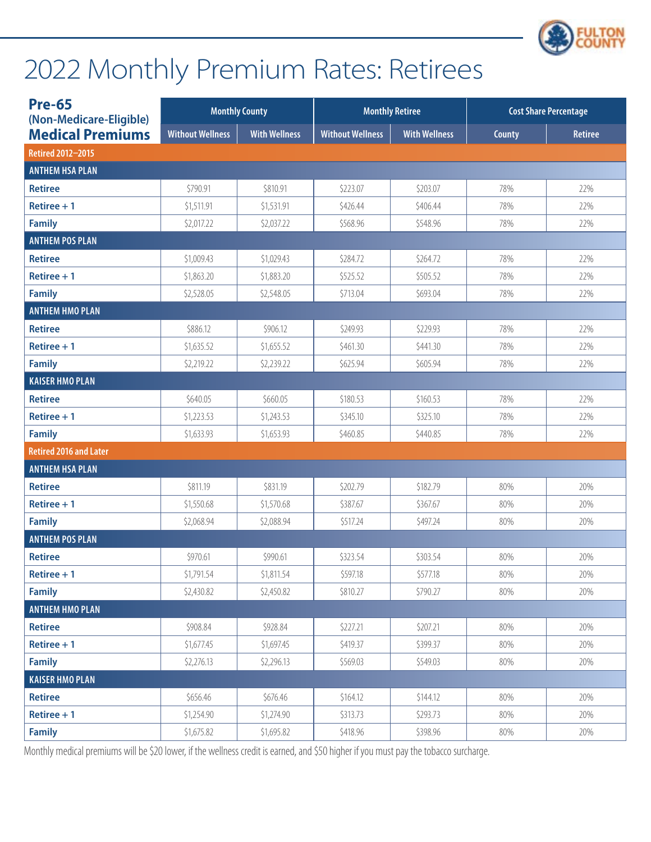

| <b>Pre-65</b><br>(Non-Medicare-Eligible) |                         | <b>Monthly County</b> | <b>Monthly Retiree</b>  |                      | <b>Cost Share Percentage</b> |                |
|------------------------------------------|-------------------------|-----------------------|-------------------------|----------------------|------------------------------|----------------|
| <b>Medical Premiums</b>                  | <b>Without Wellness</b> | <b>With Wellness</b>  | <b>Without Wellness</b> | <b>With Wellness</b> | County                       | <b>Retiree</b> |
| Retired 2012-2015                        |                         |                       |                         |                      |                              |                |
| <b>ANTHEM HSA PLAN</b>                   |                         |                       |                         |                      |                              |                |
| <b>Retiree</b>                           | \$790.91                | \$810.91              | \$223.07                | \$203.07             | 78%                          | 22%            |
| Retiree $+1$                             | \$1,511.91              | \$1,531.91            | \$426.44                | \$406.44             | 78%                          | 22%            |
| <b>Family</b>                            | \$2,017.22              | \$2,037.22            | \$568.96                | \$548.96             | 78%                          | 22%            |
| <b>ANTHEM POS PLAN</b>                   |                         |                       |                         |                      |                              |                |
| <b>Retiree</b>                           | \$1,009.43              | \$1,029.43            | \$284.72                | \$264.72             | 78%                          | 22%            |
| Retiree $+1$                             | \$1,863.20              | \$1,883.20            | \$525.52                | \$505.52             | 78%                          | 22%            |
| <b>Family</b>                            | \$2,528.05              | \$2,548.05            | \$713.04                | \$693.04             | 78%                          | 22%            |
| <b>ANTHEM HMO PLAN</b>                   |                         |                       |                         |                      |                              |                |
| <b>Retiree</b>                           | \$886.12                | \$906.12              | \$249.93                | \$229.93             | 78%                          | 22%            |
| Retiree $+1$                             | \$1,635.52              | \$1,655.52            | \$461.30                | \$441.30             | 78%                          | 22%            |
| <b>Family</b>                            | \$2,219.22              | \$2,239.22            | \$625.94                | \$605.94             | 78%                          | 22%            |
| <b>KAISER HMO PLAN</b>                   |                         |                       |                         |                      |                              |                |
| <b>Retiree</b>                           | \$640.05                | \$660.05              | \$180.53                | \$160.53             | 78%                          | 22%            |
| Retiree $+1$                             | \$1,223.53              | \$1,243.53            | \$345.10                | \$325.10             | 78%                          | 22%            |
| <b>Family</b>                            | \$1,633.93              | \$1,653.93            | \$460.85                | \$440.85             | 78%                          | 22%            |
| <b>Retired 2016 and Later</b>            |                         |                       |                         |                      |                              |                |
| <b>ANTHEM HSA PLAN</b>                   |                         |                       |                         |                      |                              |                |
| <b>Retiree</b>                           | \$811.19                | \$831.19              | \$202.79                | \$182.79             | 80%                          | 20%            |
| Retiree $+1$                             | \$1,550.68              | \$1,570.68            | \$387.67                | \$367.67             | 80%                          | 20%            |
| <b>Family</b>                            | \$2,068.94              | \$2,088.94            | \$517.24                | \$497.24             | 80%                          | 20%            |
| <b>ANTHEM POS PLAN</b>                   |                         |                       |                         |                      |                              |                |
| <b>Retiree</b>                           | \$970.61                | \$990.61              | \$323.54                | \$303.54             | 80%                          | 20%            |
| Retiree $+1$                             | \$1,791.54              | \$1,811.54            | \$597.18                | \$577.18             | 80%                          | 20%            |
| <b>Family</b>                            | \$2,430.82              | \$2,450.82            | \$810.27                | \$790.27             | 80%                          | 20%            |
| <b>ANTHEM HMO PLAN</b>                   |                         |                       |                         |                      |                              |                |
| <b>Retiree</b>                           | \$908.84                | \$928.84              | \$227.21                | \$207.21             | 80%                          | 20%            |
| $Retiree + 1$                            | \$1,677.45              | \$1,697.45            | \$419.37                | \$399.37             | 80%                          | 20%            |
| <b>Family</b>                            | \$2,276.13              | \$2,296.13            | \$569.03                | \$549.03             | 80%                          | 20%            |
| <b>KAISER HMO PLAN</b>                   |                         |                       |                         |                      |                              |                |
| <b>Retiree</b>                           | \$656.46                | \$676.46              | \$164.12                | \$144.12             | 80%                          | 20%            |
| Retiree $+1$                             | \$1,254.90              | \$1,274.90            | \$313.73                | \$293.73             | 80%                          | 20%            |
| <b>Family</b>                            | \$1,675.82              | \$1,695.82            | \$418.96                | \$398.96             | 80%                          | 20%            |

Monthly medical premiums will be \$20 lower, if the wellness credit is earned, and \$50 higher if you must pay the tobacco surcharge.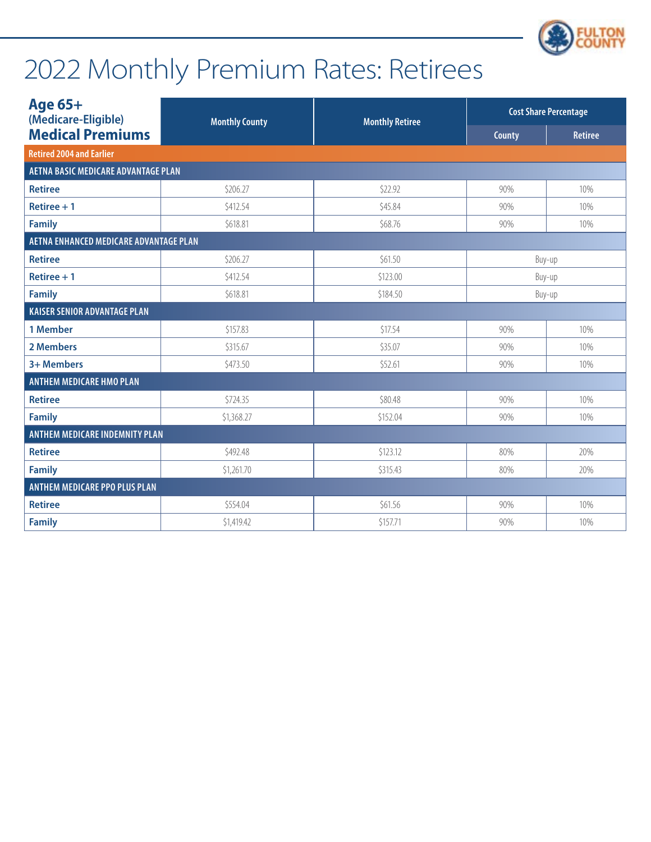

| Age 65+<br>(Medicare-Eligible)             | <b>Monthly County</b> | <b>Monthly Retiree</b> | <b>Cost Share Percentage</b> |                |
|--------------------------------------------|-----------------------|------------------------|------------------------------|----------------|
| <b>Medical Premiums</b>                    |                       |                        | <b>County</b>                | <b>Retiree</b> |
| <b>Retired 2004 and Earlier</b>            |                       |                        |                              |                |
| <b>AETNA BASIC MEDICARE ADVANTAGE PLAN</b> |                       |                        |                              |                |
| <b>Retiree</b>                             | \$206.27              | \$22.92                | 90%                          | 10%            |
| Retiree $+1$                               | \$412.54              | \$45.84                | 90%                          | 10%            |
| <b>Family</b>                              | \$618.81              | \$68.76                | 90%                          | 10%            |
| AETNA ENHANCED MEDICARE ADVANTAGE PLAN     |                       |                        |                              |                |
| <b>Retiree</b>                             | \$206.27              | \$61.50                | Buy-up                       |                |
| Retiree $+1$                               | \$412.54              | \$123.00               | Buy-up                       |                |
| <b>Family</b>                              | \$618.81              | \$184.50               | Buy-up                       |                |
| <b>KAISER SENIOR ADVANTAGE PLAN</b>        |                       |                        |                              |                |
| 1 Member                                   | \$157.83              | \$17.54                | 90%                          | 10%            |
| 2 Members                                  | \$315.67              | \$35.07                | 90%                          | 10%            |
| 3+ Members                                 | \$473.50              | \$52.61                | 90%                          | 10%            |
| <b>ANTHEM MEDICARE HMO PLAN</b>            |                       |                        |                              |                |
| <b>Retiree</b>                             | \$724.35              | \$80.48                | 90%                          | 10%            |
| <b>Family</b>                              | \$1,368.27            | \$152.04               | 90%                          | 10%            |
| <b>ANTHEM MEDICARE INDEMNITY PLAN</b>      |                       |                        |                              |                |
| <b>Retiree</b>                             | \$492.48              | \$123.12               | 80%                          | 20%            |
| <b>Family</b>                              | \$1,261.70            | \$315.43               | 80%                          | 20%            |
| <b>ANTHEM MEDICARE PPO PLUS PLAN</b>       |                       |                        |                              |                |
| <b>Retiree</b>                             | \$554.04              | \$61.56                | 90%                          | 10%            |
| <b>Family</b>                              | \$1,419.42            | \$157.71               | 90%                          | 10%            |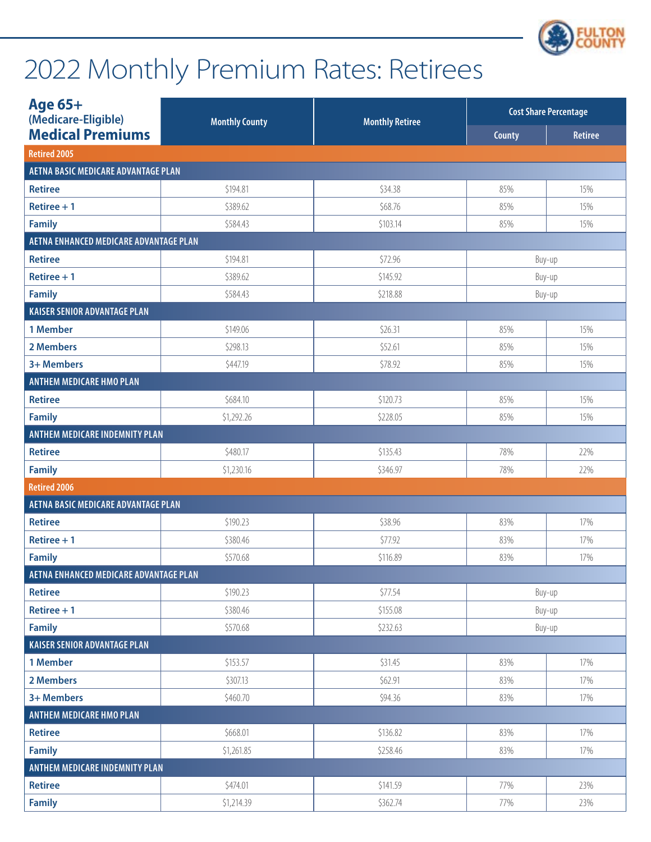

| Age 65+<br>(Medicare-Eligible)                | <b>Monthly County</b> | <b>Monthly Retiree</b> |        | <b>Cost Share Percentage</b> |
|-----------------------------------------------|-----------------------|------------------------|--------|------------------------------|
| <b>Medical Premiums</b>                       |                       |                        | County | <b>Retiree</b>               |
| <b>Retired 2005</b>                           |                       |                        |        |                              |
| <b>AETNA BASIC MEDICARE ADVANTAGE PLAN</b>    |                       |                        |        |                              |
| <b>Retiree</b>                                | \$194.81              | \$34.38                | 85%    | 15%                          |
| Retiree $+1$                                  | \$389.62              | \$68.76                | 85%    | 15%                          |
| <b>Family</b>                                 | \$584.43              | \$103.14               | 85%    | 15%                          |
| <b>AETNA ENHANCED MEDICARE ADVANTAGE PLAN</b> |                       |                        |        |                              |
| <b>Retiree</b>                                | \$194.81              | \$72.96                |        | Buy-up                       |
| Retiree $+1$                                  | \$389.62              | \$145.92               |        | Buy-up                       |
| <b>Family</b>                                 | \$584.43              | \$218.88               |        | Buy-up                       |
| <b>KAISER SENIOR ADVANTAGE PLAN</b>           |                       |                        |        |                              |
| 1 Member                                      | \$149.06              | \$26.31                | 85%    | 15%                          |
| 2 Members                                     | \$298.13              | \$52.61                | 85%    | 15%                          |
| 3+ Members                                    | \$447.19              | \$78.92                | 85%    | 15%                          |
| <b>ANTHEM MEDICARE HMO PLAN</b>               |                       |                        |        |                              |
| <b>Retiree</b>                                | \$684.10              | \$120.73               | 85%    | 15%                          |
| <b>Family</b>                                 | \$1,292.26            | \$228.05               | 85%    | 15%                          |
| ANTHEM MEDICARE INDEMNITY PLAN                |                       |                        |        |                              |
| <b>Retiree</b>                                | \$480.17              | \$135.43               | 78%    | 22%                          |
| <b>Family</b>                                 | \$1,230.16            | \$346.97               | 78%    | 22%                          |
| <b>Retired 2006</b>                           |                       |                        |        |                              |
| <b>AETNA BASIC MEDICARE ADVANTAGE PLAN</b>    |                       |                        |        |                              |
| <b>Retiree</b>                                | \$190.23              | \$38.96                | 83%    | 17%                          |
| Retiree $+1$                                  | \$380.46              | \$77.92                | 83%    | 17%                          |
| <b>Family</b>                                 | \$570.68              | \$116.89               | 83%    | 17%                          |
| AETNA ENHANCED MEDICARE ADVANTAGE PLAN        |                       |                        |        |                              |
| <b>Retiree</b>                                | \$190.23              | \$77.54                |        | Buy-up                       |
| Retiree $+1$                                  | \$380.46              | \$155.08               |        | Buy-up                       |
| <b>Family</b>                                 | \$570.68              | \$232.63               |        | Buy-up                       |
| <b>KAISER SENIOR ADVANTAGE PLAN</b>           |                       |                        |        |                              |
| 1 Member                                      | \$153.57              | \$31.45                | 83%    | 17%                          |
| 2 Members                                     | \$307.13              | \$62.91                | 83%    | 17%                          |
| 3+ Members                                    | \$460.70              | \$94.36                | 83%    | 17%                          |
| <b>ANTHEM MEDICARE HMO PLAN</b>               |                       |                        |        |                              |
| <b>Retiree</b>                                | \$668.01              | \$136.82               | 83%    | 17%                          |
| <b>Family</b>                                 | \$1,261.85            | \$258.46               | 83%    | 17%                          |
| ANTHEM MEDICARE INDEMNITY PLAN                |                       |                        |        |                              |
| <b>Retiree</b>                                | \$474.01              | \$141.59               | 77%    | 23%                          |
| <b>Family</b>                                 | \$1,214.39            | \$362.74               | 77%    | 23%                          |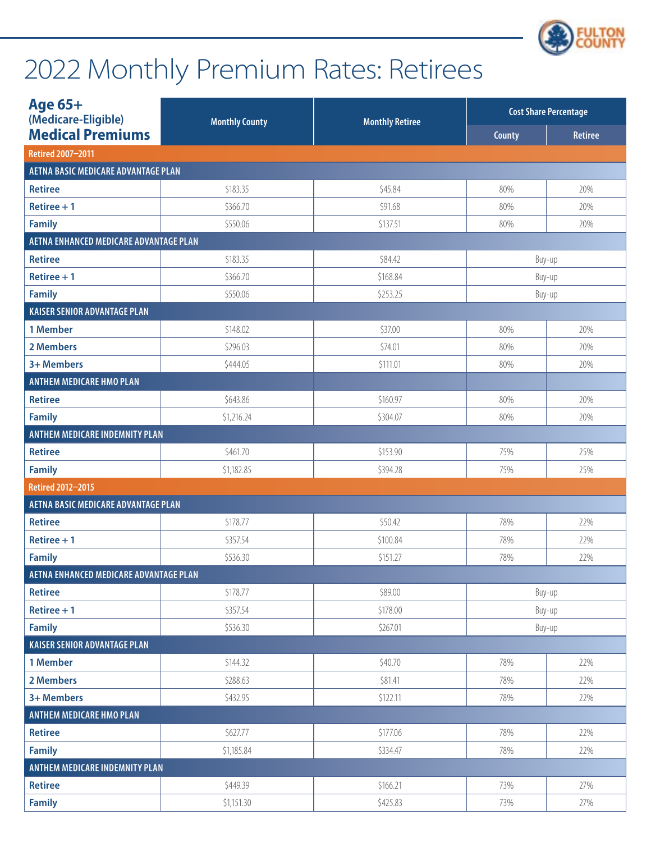

| Age 65+<br>(Medicare-Eligible)             | <b>Monthly County</b> | <b>Monthly Retiree</b> |        | <b>Cost Share Percentage</b> |
|--------------------------------------------|-----------------------|------------------------|--------|------------------------------|
| <b>Medical Premiums</b>                    |                       |                        | County | <b>Retiree</b>               |
| Retired 2007-2011                          |                       |                        |        |                              |
| <b>AETNA BASIC MEDICARE ADVANTAGE PLAN</b> |                       |                        |        |                              |
| <b>Retiree</b>                             | \$183.35              | \$45.84                | 80%    | 20%                          |
| Retiree $+1$                               | \$366.70              | \$91.68                | 80%    | 20%                          |
| <b>Family</b>                              | \$550.06              | \$137.51               | 80%    | 20%                          |
| AETNA ENHANCED MEDICARE ADVANTAGE PLAN     |                       |                        |        |                              |
| <b>Retiree</b>                             | \$183.35              | \$84.42                | Buy-up |                              |
| Retiree $+1$                               | \$366.70              | \$168.84               | Buy-up |                              |
| <b>Family</b>                              | \$550.06              | \$253.25               | Buy-up |                              |
| <b>KAISER SENIOR ADVANTAGE PLAN</b>        |                       |                        |        |                              |
| 1 Member                                   | \$148.02              | \$37.00                | 80%    | 20%                          |
| 2 Members                                  | \$296.03              | \$74.01                | 80%    | 20%                          |
| 3+ Members                                 | \$444.05              | \$111.01               | 80%    | 20%                          |
| <b>ANTHEM MEDICARE HMO PLAN</b>            |                       |                        |        |                              |
| <b>Retiree</b>                             | \$643.86              | \$160.97               | 80%    | 20%                          |
| <b>Family</b>                              | \$1,216.24            | \$304.07               | 80%    | 20%                          |
| ANTHEM MEDICARE INDEMNITY PLAN             |                       |                        |        |                              |
| <b>Retiree</b>                             | \$461.70              | \$153.90               | 75%    | 25%                          |
| <b>Family</b>                              | \$1,182.85            | \$394.28               | 75%    | 25%                          |
| Retired 2012-2015                          |                       |                        |        |                              |
| AETNA BASIC MEDICARE ADVANTAGE PLAN        |                       |                        |        |                              |
| <b>Retiree</b>                             | \$178.77              | \$50.42                | 78%    | 22%                          |
| Retiree $+1$                               | \$357.54              | \$100.84               | 78%    | 22%                          |
| <b>Family</b>                              | \$536.30              | \$151.27               | 78%    | 22%                          |
| AETNA ENHANCED MEDICARE ADVANTAGE PLAN     |                       |                        |        |                              |
| <b>Retiree</b>                             | \$178.77              | \$89.00                |        | Buy-up                       |
| Retiree $+1$                               | \$357.54              | \$178.00               |        | Buy-up                       |
| <b>Family</b>                              | \$536.30              | \$267.01               |        | Buy-up                       |
| <b>KAISER SENIOR ADVANTAGE PLAN</b>        |                       |                        |        |                              |
| 1 Member                                   | \$144.32              | \$40.70                | 78%    | 22%                          |
| 2 Members                                  | \$288.63              | \$81.41                | 78%    | 22%                          |
| 3+ Members                                 | \$432.95              | \$122.11               | 78%    | 22%                          |
| <b>ANTHEM MEDICARE HMO PLAN</b>            |                       |                        |        |                              |
| <b>Retiree</b>                             | \$627.77              | \$177.06               | 78%    | 22%                          |
| <b>Family</b>                              | \$1,185.84            | \$334.47               | 78%    | 22%                          |
| ANTHEM MEDICARE INDEMNITY PLAN             |                       |                        |        |                              |
| <b>Retiree</b>                             | \$449.39              | \$166.21               | 73%    | 27%                          |
| <b>Family</b>                              | \$1,151.30            | \$425.83               | 73%    | 27%                          |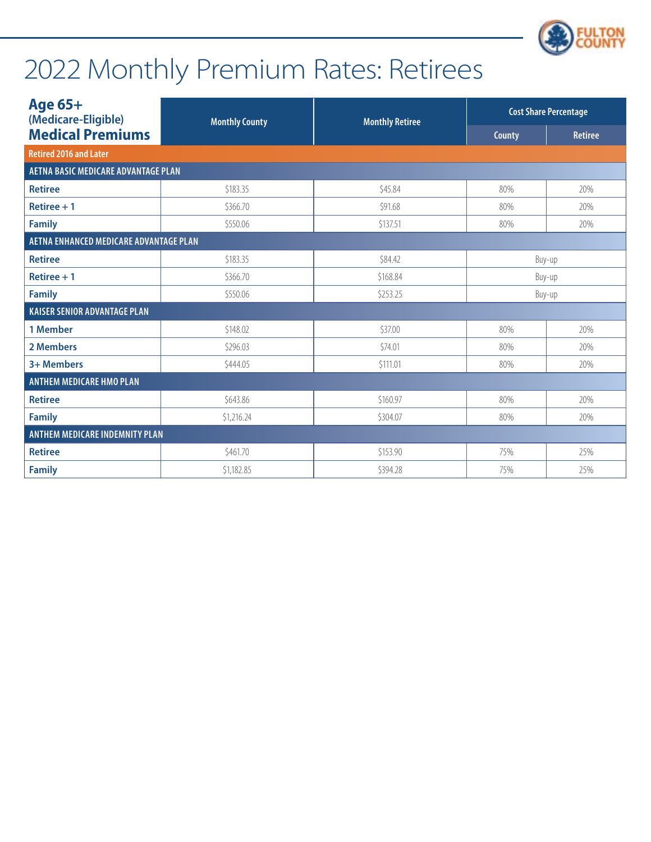

| Age 65+                                | (Medicare-Eligible)<br><b>Monthly County</b><br><b>Monthly Retiree</b> |          | <b>Cost Share Percentage</b> |                |
|----------------------------------------|------------------------------------------------------------------------|----------|------------------------------|----------------|
| <b>Medical Premiums</b>                |                                                                        |          | County                       | <b>Retiree</b> |
| <b>Retired 2016 and Later</b>          |                                                                        |          |                              |                |
| AETNA BASIC MEDICARE ADVANTAGE PLAN    |                                                                        |          |                              |                |
| <b>Retiree</b>                         | \$183.35                                                               | \$45.84  | 80%                          | 20%            |
| Retiree $+1$                           | \$366.70                                                               | \$91.68  | 80%                          | 20%            |
| <b>Family</b>                          | \$550.06                                                               | \$137.51 | 80%                          | 20%            |
| AETNA ENHANCED MEDICARE ADVANTAGE PLAN |                                                                        |          |                              |                |
| <b>Retiree</b>                         | \$183.35                                                               | \$84.42  | Buy-up                       |                |
| Retiree $+1$                           | \$366.70                                                               | \$168.84 | Buy-up                       |                |
| <b>Family</b>                          | \$550.06                                                               | \$253.25 | Buy-up                       |                |
| <b>KAISER SENIOR ADVANTAGE PLAN</b>    |                                                                        |          |                              |                |
| 1 Member                               | \$148.02                                                               | \$37.00  | 80%                          | 20%            |
| 2 Members                              | \$296.03                                                               | \$74.01  | 80%                          | 20%            |
| 3+ Members                             | \$444.05                                                               | \$111.01 | 80%                          | 20%            |
| <b>ANTHEM MEDICARE HMO PLAN</b>        |                                                                        |          |                              |                |
| <b>Retiree</b>                         | \$643.86                                                               | \$160.97 | 80%                          | 20%            |
| <b>Family</b>                          | \$1,216.24                                                             | \$304.07 | 80%                          | 20%            |
| <b>ANTHEM MEDICARE INDEMNITY PLAN</b>  |                                                                        |          |                              |                |
| <b>Retiree</b>                         | \$461.70                                                               | \$153.90 | 75%                          | 25%            |
| <b>Family</b>                          | \$1,182.85                                                             | \$394.28 | 75%                          | 25%            |